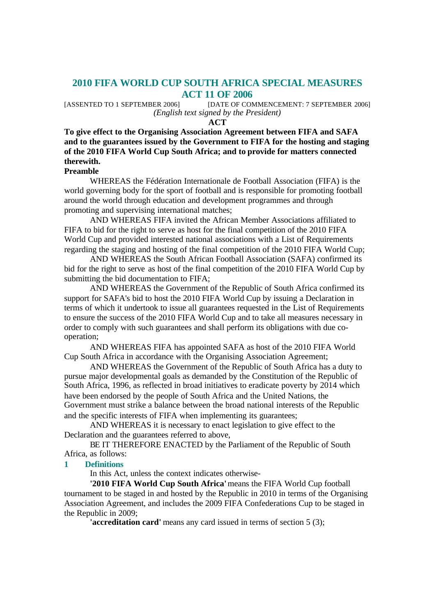# **2010 FIFA WORLD CUP SOUTH AFRICA SPECIAL MEASURES ACT 11 OF 2006**

[ASSENTED TO 1 SEPTEMBER 2006] [DATE OF COMMENCEMENT: 7 SEPTEMBER 2006] *(English text signed by the President)*

**ACT**

# **To give effect to the Organising Association Agreement between FIFA and SAFA and to the guarantees issued by the Government to FIFA for the hosting and staging of the 2010 FIFA World Cup South Africa; and to provide for matters connected therewith.**

### **Preamble**

WHEREAS the Fédération Internationale de Football Association (FIFA) is the world governing body for the sport of football and is responsible for promoting football around the world through education and development programmes and through promoting and supervising international matches;

AND WHEREAS FIFA invited the African Member Associations affiliated to FIFA to bid for the right to serve as host for the final competition of the 2010 FIFA World Cup and provided interested national associations with a List of Requirements regarding the staging and hosting of the final competition of the 2010 FIFA World Cup;

AND WHEREAS the South African Football Association (SAFA) confirmed its bid for the right to serve as host of the final competition of the 2010 FIFA World Cup by submitting the bid documentation to FIFA;

AND WHEREAS the Government of the Republic of South Africa confirmed its support for SAFA's bid to host the 2010 FIFA World Cup by issuing a Declaration in terms of which it undertook to issue all guarantees requested in the List of Requirements to ensure the success of the 2010 FIFA World Cup and to take all measures necessary in order to comply with such guarantees and shall perform its obligations with due cooperation;

AND WHEREAS FIFA has appointed SAFA as host of the 2010 FIFA World Cup South Africa in accordance with the Organising Association Agreement;

AND WHEREAS the Government of the Republic of South Africa has a duty to pursue major developmental goals as demanded by the Constitution of the Republic of South Africa, 1996, as reflected in broad initiatives to eradicate poverty by 2014 which have been endorsed by the people of South Africa and the United Nations, the Government must strike a balance between the broad national interests of the Republic and the specific interests of FIFA when implementing its guarantees;

AND WHEREAS it is necessary to enact legislation to give effect to the Declaration and the guarantees referred to above,

BE IT THEREFORE ENACTED by the Parliament of the Republic of South Africa, as follows:

### **1 Definitions**

In this Act, unless the context indicates otherwise-

**'2010 FIFA World Cup South Africa'** means the FIFA World Cup football tournament to be staged in and hosted by the Republic in 2010 in terms of the Organising Association Agreement, and includes the 2009 FIFA Confederations Cup to be staged in the Republic in 2009;

**'accreditation card'** means any card issued in terms of section 5 (3);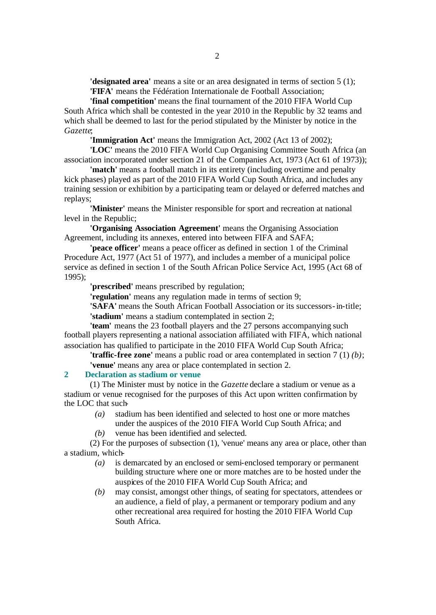**'designated area'** means a site or an area designated in terms of section 5 (1); **'FIFA'** means the Fédération Internationale de Football Association;

**'final competition'** means the final tournament of the 2010 FIFA World Cup South Africa which shall be contested in the year 2010 in the Republic by 32 teams and which shall be deemed to last for the period stipulated by the Minister by notice in the *Gazette*;

**'Immigration Act'** means the Immigration Act, 2002 (Act 13 of 2002);

**'LOC'** means the 2010 FIFA World Cup Organising Committee South Africa (an association incorporated under section 21 of the Companies Act, 1973 (Act 61 of 1973));

**'match'** means a football match in its entirety (including overtime and penalty kick phases) played as part of the 2010 FIFA World Cup South Africa, and includes any training session or exhibition by a participating team or delayed or deferred matches and replays;

**'Minister'** means the Minister responsible for sport and recreation at national level in the Republic;

**'Organising Association Agreement'** means the Organising Association Agreement, including its annexes, entered into between FIFA and SAFA;

**'peace officer'** means a peace officer as defined in section 1 of the Criminal Procedure Act, 1977 (Act 51 of 1977), and includes a member of a municipal police service as defined in section 1 of the South African Police Service Act, 1995 (Act 68 of 1995);

**'prescribed'** means prescribed by regulation;

**'regulation'** means any regulation made in terms of section 9;

**'SAFA'** means the South African Football Association or its successors-in-title; **'stadium'** means a stadium contemplated in section 2;

**'team'** means the 23 football players and the 27 persons accompanying such football players representing a national association affiliated with FIFA, which national association has qualified to participate in the 2010 FIFA World Cup South Africa;

**'traffic-free zone'** means a public road or area contemplated in section 7 (1) *(b)*; **'venue'** means any area or place contemplated in section 2.

**2 Declaration as stadium or venue**

(1) The Minister must by notice in the *Gazette* declare a stadium or venue as a stadium or venue recognised for the purposes of this Act upon written confirmation by the LOC that such-

- *(a)* stadium has been identified and selected to host one or more matches under the auspices of the 2010 FIFA World Cup South Africa; and
- *(b)* venue has been identified and selected.

(2) For the purposes of subsection (1), 'venue' means any area or place, other than a stadium, which-

- *(a)* is demarcated by an enclosed or semi-enclosed temporary or permanent building structure where one or more matches are to be hosted under the auspices of the 2010 FIFA World Cup South Africa; and
- *(b)* may consist, amongst other things, of seating for spectators, attendees or an audience, a field of play, a permanent or temporary podium and any other recreational area required for hosting the 2010 FIFA World Cup South Africa.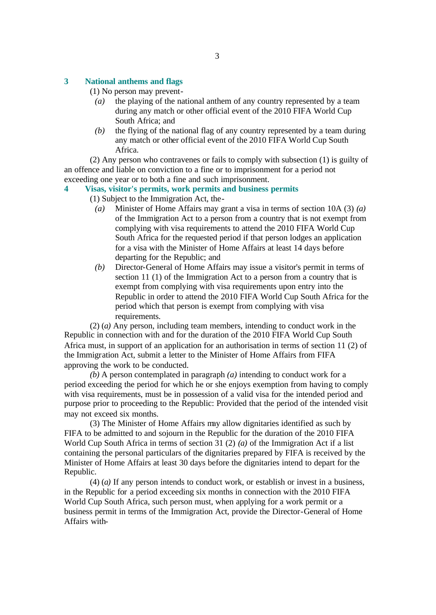#### **3 National anthems and flags**

(1) No person may prevent-

- *(a)* the playing of the national anthem of any country represented by a team during any match or other official event of the 2010 FIFA World Cup South Africa; and
- *(b)* the flying of the national flag of any country represented by a team during any match or other official event of the 2010 FIFA World Cup South Africa.

(2) Any person who contravenes or fails to comply with subsection (1) is guilty of an offence and liable on conviction to a fine or to imprisonment for a period not exceeding one year or to both a fine and such imprisonment.

## **4 Visas, visitor's permits, work permits and business permits**

- (1) Subject to the Immigration Act, the-
	- *(a)* Minister of Home Affairs may grant a visa in terms of section 10A (3) *(a)* of the Immigration Act to a person from a country that is not exempt from complying with visa requirements to attend the 2010 FIFA World Cup South Africa for the requested period if that person lodges an application for a visa with the Minister of Home Affairs at least 14 days before departing for the Republic; and
	- *(b)* Director-General of Home Affairs may issue a visitor's permit in terms of section 11 (1) of the Immigration Act to a person from a country that is exempt from complying with visa requirements upon entry into the Republic in order to attend the 2010 FIFA World Cup South Africa for the period which that person is exempt from complying with visa requirements.

(2) (*a)* Any person, including team members, intending to conduct work in the Republic in connection with and for the duration of the 2010 FIFA World Cup South Africa must, in support of an application for an authorisation in terms of section 11 (2) of the Immigration Act, submit a letter to the Minister of Home Affairs from FIFA approving the work to be conducted.

*(b)* A person contemplated in paragraph *(a)* intending to conduct work for a period exceeding the period for which he or she enjoys exemption from having to comply with visa requirements, must be in possession of a valid visa for the intended period and purpose prior to proceeding to the Republic: Provided that the period of the intended visit may not exceed six months.

(3) The Minister of Home Affairs may allow dignitaries identified as such by FIFA to be admitted to and sojourn in the Republic for the duration of the 2010 FIFA World Cup South Africa in terms of section 31 (2) *(a)* of the Immigration Act if a list containing the personal particulars of the dignitaries prepared by FIFA is received by the Minister of Home Affairs at least 30 days before the dignitaries intend to depart for the Republic.

(4) (*a)* If any person intends to conduct work, or establish or invest in a business, in the Republic for a period exceeding six months in connection with the 2010 FIFA World Cup South Africa, such person must, when applying for a work permit or a business permit in terms of the Immigration Act, provide the Director-General of Home Affairs with-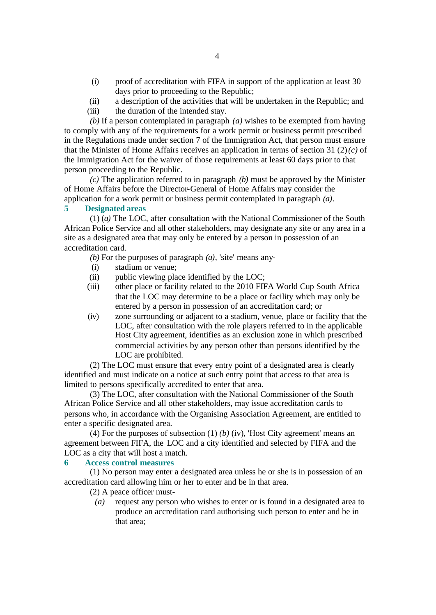- (i) proof of accreditation with FIFA in support of the application at least 30 days prior to proceeding to the Republic;
- (ii) a description of the activities that will be undertaken in the Republic; and
- (iii) the duration of the intended stay.

*(b)* If a person contemplated in paragraph *(a)* wishes to be exempted from having to comply with any of the requirements for a work permit or business permit prescribed in the Regulations made under section 7 of the Immigration Act, that person must ensure that the Minister of Home Affairs receives an application in terms of section 31 (2) *(c)* of the Immigration Act for the waiver of those requirements at least 60 days prior to that person proceeding to the Republic.

*(c)* The application referred to in paragraph *(b)* must be approved by the Minister of Home Affairs before the Director-General of Home Affairs may consider the application for a work permit or business permit contemplated in paragraph *(a)*.

### **5 Designated areas**

(1) (*a)* The LOC, after consultation with the National Commissioner of the South African Police Service and all other stakeholders, may designate any site or any area in a site as a designated area that may only be entered by a person in possession of an accreditation card.

*(b)* For the purposes of paragraph *(a)*, 'site' means any-

- (i) stadium or venue;
- (ii) public viewing place identified by the LOC;
- (iii) other place or facility related to the 2010 FIFA World Cup South Africa that the LOC may determine to be a place or facility which may only be entered by a person in possession of an accreditation card; or
- (iv) zone surrounding or adjacent to a stadium, venue, place or facility that the LOC, after consultation with the role players referred to in the applicable Host City agreement, identifies as an exclusion zone in which prescribed commercial activities by any person other than persons identified by the LOC are prohibited.

(2) The LOC must ensure that every entry point of a designated area is clearly identified and must indicate on a notice at such entry point that access to that area is limited to persons specifically accredited to enter that area.

(3) The LOC, after consultation with the National Commissioner of the South African Police Service and all other stakeholders, may issue accreditation cards to persons who, in accordance with the Organising Association Agreement, are entitled to enter a specific designated area.

(4) For the purposes of subsection (1) *(b)* (iv), 'Host City agreement' means an agreement between FIFA, the LOC and a city identified and selected by FIFA and the LOC as a city that will host a match.

## **6 Access control measures**

(1) No person may enter a designated area unless he or she is in possession of an accreditation card allowing him or her to enter and be in that area.

(2) A peace officer must-

*(a)* request any person who wishes to enter or is found in a designated area to produce an accreditation card authorising such person to enter and be in that area;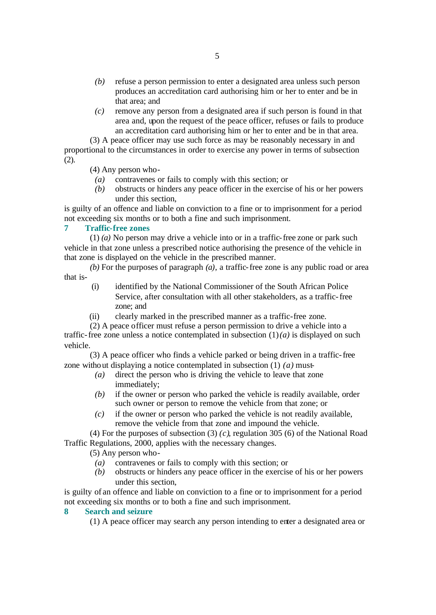- *(b)* refuse a person permission to enter a designated area unless such person produces an accreditation card authorising him or her to enter and be in that area; and
- *(c)* remove any person from a designated area if such person is found in that area and, upon the request of the peace officer, refuses or fails to produce an accreditation card authorising him or her to enter and be in that area.

(3) A peace officer may use such force as may be reasonably necessary in and proportional to the circumstances in order to exercise any power in terms of subsection (2).

(4) Any person who-

- *(a)* contravenes or fails to comply with this section; or
- *(b)* obstructs or hinders any peace officer in the exercise of his or her powers under this section,

is guilty of an offence and liable on conviction to a fine or to imprisonment for a period not exceeding six months or to both a fine and such imprisonment.

## **7 Traffic-free zones**

(1) *(a)* No person may drive a vehicle into or in a traffic-free zone or park such vehicle in that zone unless a prescribed notice authorising the presence of the vehicle in that zone is displayed on the vehicle in the prescribed manner.

*(b)* For the purposes of paragraph *(a)*, a traffic-free zone is any public road or area that is-

- (i) identified by the National Commissioner of the South African Police Service, after consultation with all other stakeholders, as a traffic-free zone; and
- (ii) clearly marked in the prescribed manner as a traffic-free zone.

(2) A peace officer must refuse a person permission to drive a vehicle into a traffic-free zone unless a notice contemplated in subsection  $(1)(a)$  is displayed on such vehicle.

(3) A peace officer who finds a vehicle parked or being driven in a traffic-free zone without displaying a notice contemplated in subsection (1) *(a)* must-

- *(a)* direct the person who is driving the vehicle to leave that zone immediately;
- *(b)* if the owner or person who parked the vehicle is readily available, order such owner or person to remove the vehicle from that zone; or
- *(c)* if the owner or person who parked the vehicle is not readily available, remove the vehicle from that zone and impound the vehicle.

(4) For the purposes of subsection (3) *(c)*, regulation 305 (6) of the National Road Traffic Regulations, 2000, applies with the necessary changes.

(5) Any person who-

- *(a)* contravenes or fails to comply with this section; or
- *(b)* obstructs or hinders any peace officer in the exercise of his or her powers under this section,

is guilty of an offence and liable on conviction to a fine or to imprisonment for a period not exceeding six months or to both a fine and such imprisonment.

## **8 Search and seizure**

(1) A peace officer may search any person intending to enter a designated area or